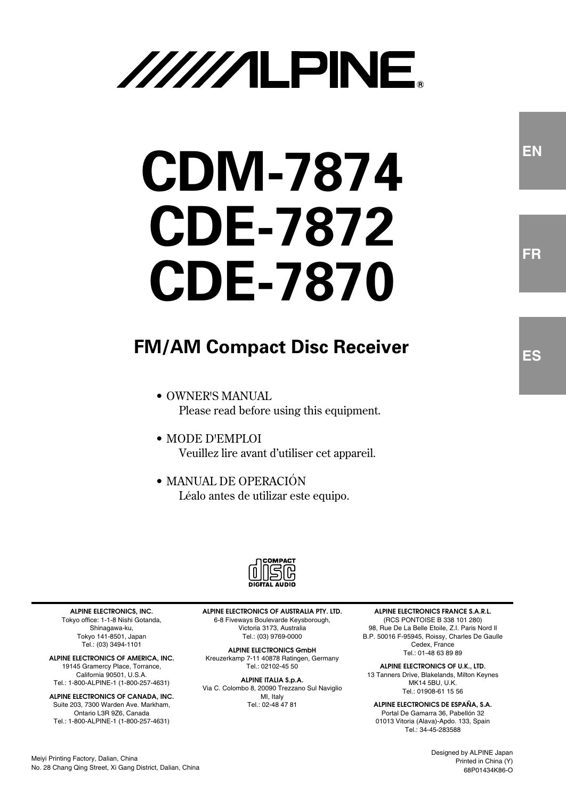# //////LPINE

# **CDM-7874 CDE-7872 CDE-7870**

## **FM/AM Compact Disc Receiver**

- OWNER'S MANUAL Please read before using this equipment.
- MODE D'EMPLOI Veuillez lire avant d'utiliser cet appareil.
- MANUAL DE OPERACIÓN Léalo antes de utilizar este equipo.



**ALPINE ELECTRONICS, INC.** Tokyo office: 1-1-8 Nishi Gotanda, Shinagawa-ku, Tokyo 141-8501, Japan Tel.: (03) 3494-1101

**ALPINE ELECTRONICS OF AMERICA, INC.** 19145 Gramercy Place, Torrance, California 90501, U.S.A. Tel.: 1-800-ALPINE-1 (1-800-257-4631)

**ALPINE ELECTRONICS OF CANADA, INC.** Suite 203, 7300 Warden Ave. Markham, Ontario L3R 9Z6, Canada Tel.: 1-800-ALPINE-1 (1-800-257-4631)

No. 28 Chang Qing Street, Xi Gang District, Dalian, China

Meiyi Printing Factory, Dalian, China

**ALPINE ELECTRONICS OF AUSTRALIA PTY. LTD.** 6-8 Fiveways Boulevarde Keysborough, Victoria 3173, Australia Tel.: (03) 9769-0000

**ALPINE ELECTRONICS GmbH** Kreuzerkamp 7-11 40878 Ratingen, Germany Tel.: 02102-45 50

**ALPINE ITALIA S.p.A.** Via C. Colombo 8, 20090 Trezzano Sul Naviglio MI, Italy Tel.: 02-48 47 81

**ALPINE ELECTRONICS FRANCE S.A.R.L.** (RCS PONTOISE B 338 101 280) 98, Rue De La Belle Etoile, Z.I. Paris Nord Il B.P. 50016 F-95945, Roissy, Charles De Gaulle Cedex, France Tel.: 01-48 63 89 89

**ALPINE ELECTRONICS OF U.K., LTD.** 13 Tanners Drive, Blakelands, Milton Keynes **MK14 5BU, U.K.** Tel.: 01908-61 15 56

**ALPINE ELECTRONICS DE ESPAÑA, S.A.** Portal De Gamarra 36, Pabellón 32 01013 Vitoria (Alava)-Apdo. 133, Spain Tel.: 34-45-283588

**EN**

**FR**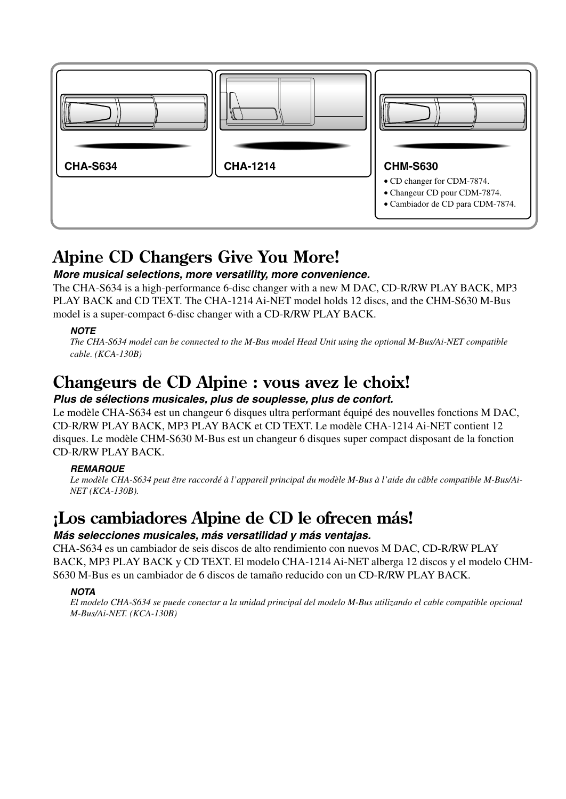

## **Alpine CD Changers Give You More!**

## **More musical selections, more versatility, more convenience.**

The CHA-S634 is a high-performance 6-disc changer with a new M DAC, CD-R/RW PLAY BACK, MP3 PLAY BACK and CD TEXT. The CHA-1214 Ai-NET model holds 12 discs, and the CHM-S630 M-Bus model is a super-compact 6-disc changer with a CD-R/RW PLAY BACK.

## **NOTE**

*The CHA-S634 model can be connected to the M-Bus model Head Unit using the optional M-Bus/Ai-NET compatible cable. (KCA-130B)*

## **Changeurs de CD Alpine : vous avez le choix!**

## **Plus de sélections musicales, plus de souplesse, plus de confort.**

Le modèle CHA-S634 est un changeur 6 disques ultra performant équipé des nouvelles fonctions M DAC, CD-R/RW PLAY BACK, MP3 PLAY BACK et CD TEXT. Le modèle CHA-1214 Ai-NET contient 12 disques. Le modèle CHM-S630 M-Bus est un changeur 6 disques super compact disposant de la fonction CD-R/RW PLAY BACK.

## **REMARQUE**

*Le modèle CHA-S634 peut être raccordé à l'appareil principal du modèle M-Bus à l'aide du câble compatible M-Bus/Ai-NET (KCA-130B).*

## **¡Los cambiadores Alpine de CD le ofrecen más!**

## **Más selecciones musicales, más versatilidad y más ventajas.**

CHA-S634 es un cambiador de seis discos de alto rendimiento con nuevos M DAC, CD-R/RW PLAY BACK, MP3 PLAY BACK y CD TEXT. El modelo CHA-1214 Ai-NET alberga 12 discos y el modelo CHM-S630 M-Bus es un cambiador de 6 discos de tamaño reducido con un CD-R/RW PLAY BACK.

## **NOTA**

*El modelo CHA-S634 se puede conectar a la unidad principal del modelo M-Bus utilizando el cable compatible opcional M-Bus/Ai-NET. (KCA-130B)*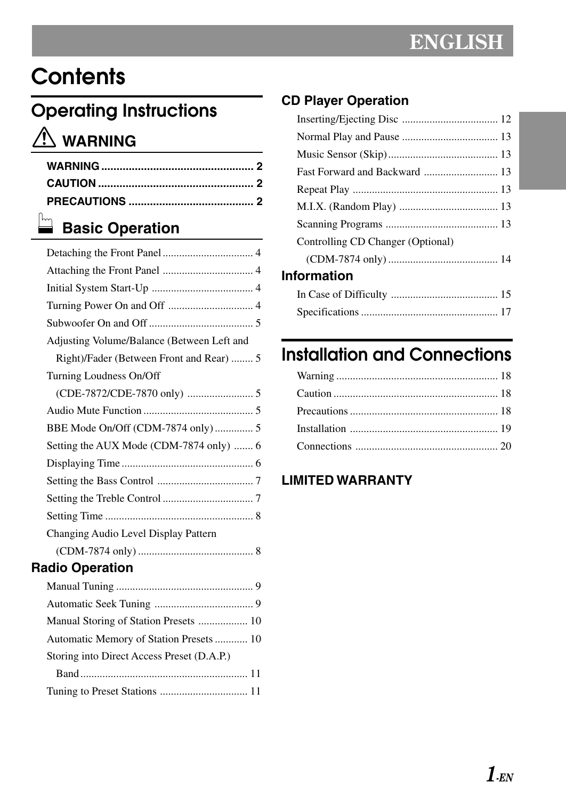## **Contents**

## **Operating Instructions WARNING**

## **Basic Operation**

| Adjusting Volume/Balance (Between Left and |  |
|--------------------------------------------|--|
| Right)/Fader (Between Front and Rear)  5   |  |
| Turning Loudness On/Off                    |  |
|                                            |  |
|                                            |  |
| BBE Mode On/Off (CDM-7874 only)  5         |  |
| Setting the AUX Mode (CDM-7874 only)  6    |  |
|                                            |  |
|                                            |  |
|                                            |  |
|                                            |  |
| Changing Audio Level Display Pattern       |  |
|                                            |  |
| adio Operation                             |  |

## **Radio Operation**

| Storing into Direct Access Preset (D.A.P.) |  |
|--------------------------------------------|--|
|                                            |  |
|                                            |  |

## **CD Player Operation**

| Controlling CD Changer (Optional) |  |
|-----------------------------------|--|
|                                   |  |
| <b>Information</b>                |  |
|                                   |  |
|                                   |  |

## **Installation and Connections**

## **LIMITED WARRANTY**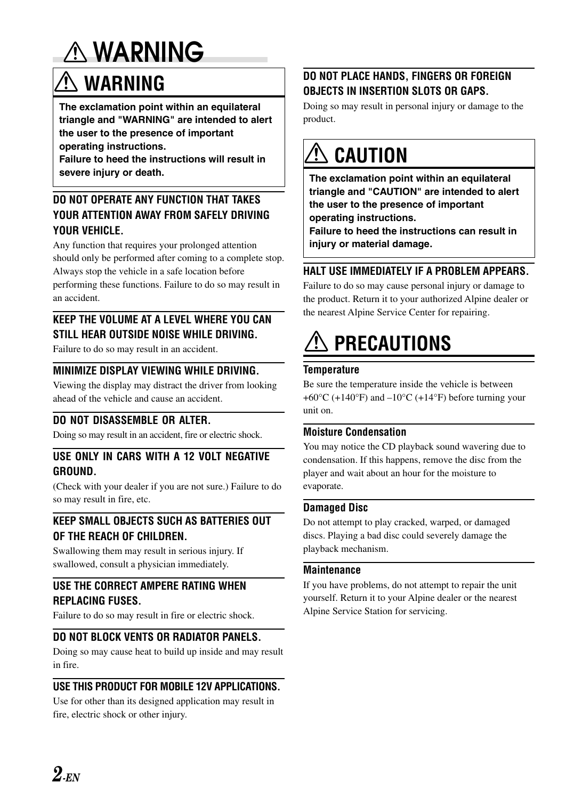## **WARNING**

## $\mathbf{\hat{M}}$  WARNING

**The exclamation point within an equilateral triangle and "WARNING" are intended to alert the user to the presence of important operating instructions.**

**Failure to heed the instructions will result in severe injury or death.**

## **DO NOT OPERATE ANY FUNCTION THAT TAKES YOUR ATTENTION AWAY FROM SAFELY DRIVING YOUR VEHICLE.**

Any function that requires your prolonged attention should only be performed after coming to a complete stop. Always stop the vehicle in a safe location before performing these functions. Failure to do so may result in an accident.

## **KEEP THE VOLUME AT A LEVEL WHERE YOU CAN STILL HEAR OUTSIDE NOISE WHILE DRIVING.**

Failure to do so may result in an accident.

## **MINIMIZE DISPLAY VIEWING WHILE DRIVING.**

Viewing the display may distract the driver from looking ahead of the vehicle and cause an accident.

## **DO NOT DISASSEMBLE OR ALTER.**

Doing so may result in an accident, fire or electric shock.

## **USE ONLY IN CARS WITH A 12 VOLT NEGATIVE GROUND.**

(Check with your dealer if you are not sure.) Failure to do so may result in fire, etc.

## **KEEP SMALL OBJECTS SUCH AS BATTERIES OUT OF THE REACH OF CHILDREN.**

Swallowing them may result in serious injury. If swallowed, consult a physician immediately.

## **USE THE CORRECT AMPERE RATING WHEN REPLACING FUSES.**

Failure to do so may result in fire or electric shock.

## **DO NOT BLOCK VENTS OR RADIATOR PANELS.**

Doing so may cause heat to build up inside and may result in fire.

## **USE THIS PRODUCT FOR MOBILE 12V APPLICATIONS.**

Use for other than its designed application may result in fire, electric shock or other injury.

## **DO NOT PLACE HANDS, FINGERS OR FOREIGN OBJECTS IN INSERTION SLOTS OR GAPS.**

Doing so may result in personal injury or damage to the product.

## **CAUTION**

**The exclamation point within an equilateral triangle and "CAUTION" are intended to alert the user to the presence of important operating instructions.**

**Failure to heed the instructions can result in injury or material damage.**

## **HALT USE IMMEDIATELY IF A PROBLEM APPEARS.**

Failure to do so may cause personal injury or damage to the product. Return it to your authorized Alpine dealer or the nearest Alpine Service Center for repairing.

## **PRECAUTIONS**

## **Temperature**

Be sure the temperature inside the vehicle is between  $+60^{\circ}$ C (+140°F) and  $-10^{\circ}$ C (+14°F) before turning your unit on.

## **Moisture Condensation**

You may notice the CD playback sound wavering due to condensation. If this happens, remove the disc from the player and wait about an hour for the moisture to evaporate.

## **Damaged Disc**

Do not attempt to play cracked, warped, or damaged discs. Playing a bad disc could severely damage the playback mechanism.

## **Maintenance**

If you have problems, do not attempt to repair the unit yourself. Return it to your Alpine dealer or the nearest Alpine Service Station for servicing.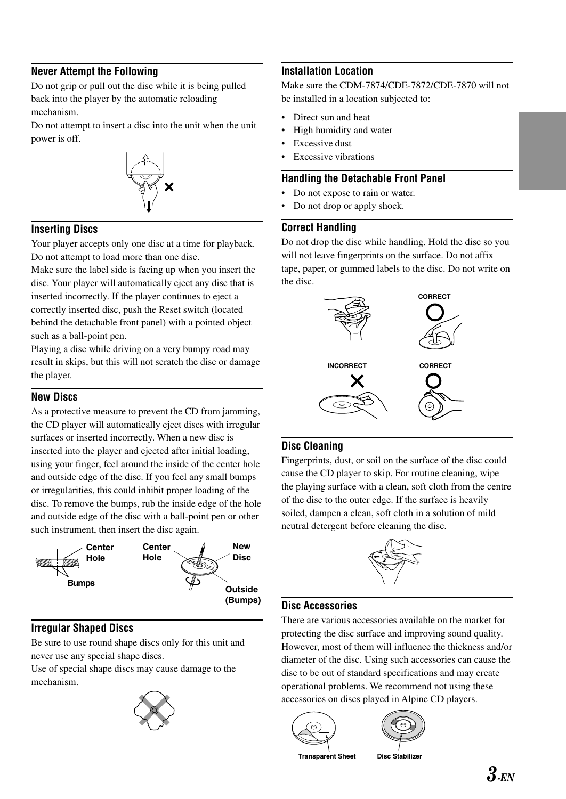## **Never Attempt the Following**

Do not grip or pull out the disc while it is being pulled back into the player by the automatic reloading mechanism.

Do not attempt to insert a disc into the unit when the unit power is off.



## **Inserting Discs**

Your player accepts only one disc at a time for playback. Do not attempt to load more than one disc.

Make sure the label side is facing up when you insert the disc. Your player will automatically eject any disc that is inserted incorrectly. If the player continues to eject a correctly inserted disc, push the Reset switch (located behind the detachable front panel) with a pointed object such as a ball-point pen.

Playing a disc while driving on a very bumpy road may result in skips, but this will not scratch the disc or damage the player.

#### **New Discs**

As a protective measure to prevent the CD from jamming, the CD player will automatically eject discs with irregular surfaces or inserted incorrectly. When a new disc is inserted into the player and ejected after initial loading, using your finger, feel around the inside of the center hole and outside edge of the disc. If you feel any small bumps or irregularities, this could inhibit proper loading of the disc. To remove the bumps, rub the inside edge of the hole and outside edge of the disc with a ball-point pen or other such instrument, then insert the disc again.



#### **Irregular Shaped Discs**

Be sure to use round shape discs only for this unit and never use any special shape discs.

Use of special shape discs may cause damage to the mechanism.



## **Installation Location**

Make sure the CDM-7874/CDE-7872/CDE-7870 will not be installed in a location subjected to:

- Direct sun and heat
- High humidity and water
- **Excessive dust**
- **Excessive vibrations**

#### **Handling the Detachable Front Panel**

- Do not expose to rain or water.
- Do not drop or apply shock.

## **Correct Handling**

Do not drop the disc while handling. Hold the disc so you will not leave fingerprints on the surface. Do not affix tape, paper, or gummed labels to the disc. Do not write on the disc.



## **Disc Cleaning**

Fingerprints, dust, or soil on the surface of the disc could cause the CD player to skip. For routine cleaning, wipe the playing surface with a clean, soft cloth from the centre of the disc to the outer edge. If the surface is heavily soiled, dampen a clean, soft cloth in a solution of mild neutral detergent before cleaning the disc.



## **Disc Accessories**

There are various accessories available on the market for protecting the disc surface and improving sound quality. However, most of them will influence the thickness and/or diameter of the disc. Using such accessories can cause the disc to be out of standard specifications and may create operational problems. We recommend not using these accessories on discs played in Alpine CD players.





**Transparent Sheet Disc Stabilizer**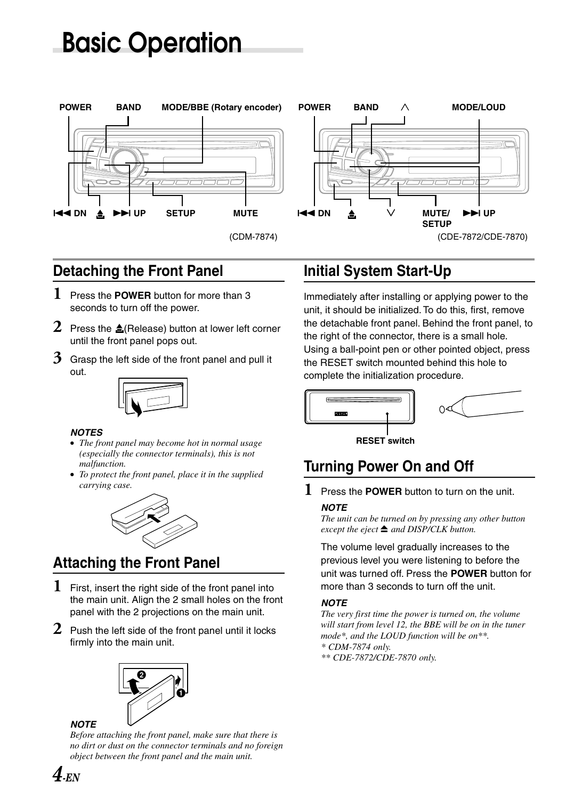## **Basic Operation**



## **Detaching the Front Panel**

- **1** Press the **POWER** button for more than 3 seconds to turn off the power.
- 2 Press the  $\triangle$ (Release) button at lower left corner until the front panel pops out.
- **3** Grasp the left side of the front panel and pull it out.



#### **NOTES**

- *The front panel may become hot in normal usage (especially the connector terminals), this is not malfunction.*
- *To protect the front panel, place it in the supplied carrying case.*



## **Attaching the Front Panel**

- **1** First, insert the right side of the front panel into the main unit. Align the 2 small holes on the front panel with the 2 projections on the main unit.
- **2** Push the left side of the front panel until it locks firmly into the main unit.



## **NOTE**

*Before attaching the front panel, make sure that there is no dirt or dust on the connector terminals and no foreign object between the front panel and the main unit.*

## **Initial System Start-Up**

Immediately after installing or applying power to the unit, it should be initialized. To do this, first, remove the detachable front panel. Behind the front panel, to the right of the connector, there is a small hole. Using a ball-point pen or other pointed object, press the RESET switch mounted behind this hole to complete the initialization procedure.



**RESET switch**

## **Turning Power On and Off**

**1** Press the **POWER** button to turn on the unit.

#### **NOTE**

*The unit can be turned on by pressing any other button except the eject* **≙** and DISP/CLK button.

The volume level gradually increases to the previous level you were listening to before the unit was turned off. Press the **POWER** button for more than 3 seconds to turn off the unit.

## **NOTE**

*The very first time the power is turned on, the volume will start from level 12, the BBE will be on in the tuner mode\*, and the LOUD function will be on\*\*. \* CDM-7874 only.*

*\*\* CDE-7872/CDE-7870 only.*

 $\boldsymbol{4}_{\textit{\text{FN}}}$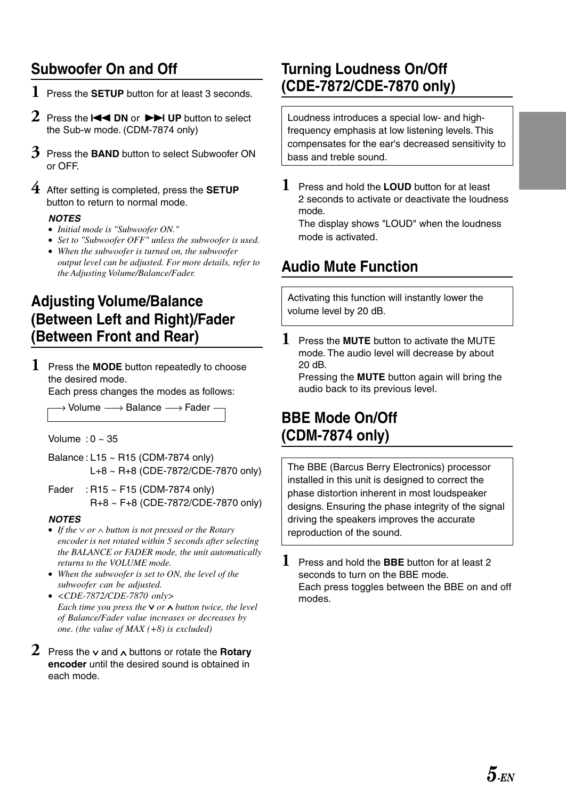## **Subwoofer On and Off**

- **1** Press the **SETUP** button for at least 3 seconds.
- 2 Press the **EXALUM** or **DEALUP** button to select the Sub-w mode. (CDM-7874 only)
- **3** Press the **BAND** button to select Subwoofer ON or OFF.
- **4** After setting is completed, press the **SETUP** button to return to normal mode.

## **NOTES**

- *Initial mode is "Subwoofer ON."*
- *Set to "Subwoofer OFF" unless the subwoofer is used.*
- *When the subwoofer is turned on, the subwoofer output level can be adjusted. For more details, refer to the Adjusting Volume/Balance/Fader.*

## **Adjusting Volume/Balance (Between Left and Right)/Fader (Between Front and Rear)**

**1** Press the **MODE** button repeatedly to choose the desired mode.

Each press changes the modes as follows:

→ Volume  $\longrightarrow$  Balance  $\longrightarrow$  Fader

Volume :  $0 \sim 35$ 

- Balance : L15 ~ R15 (CDM-7874 only) L+8 ~ R+8 (CDE-7872/CDE-7870 only)
- Fader : R15 ~ F15 (CDM-7874 only) R+8 ~ F+8 (CDE-7872/CDE-7870 only)

## **NOTES**

- If the  $\vee$  or  $\wedge$  button is not pressed or the Rotary *encoder is not rotated within 5 seconds after selecting the BALANCE or FADER mode, the unit automatically returns to the VOLUME mode.*
- *When the subwoofer is set to ON, the level of the subwoofer can be adjusted.*
- *<CDE-7872/CDE-7870 only> Each time you press the*  $\vee$  *or*  $\wedge$  *button twice, the level of Balance/Fader value increases or decreases by one. (the value of MAX (+8) is excluded)*
- **2** Press the  $\vee$  and  $\wedge$  buttons or rotate the **Rotary encoder** until the desired sound is obtained in each mode.

## **Turning Loudness On/Off (CDE-7872/CDE-7870 only)**

Loudness introduces a special low- and highfrequency emphasis at low listening levels. This compensates for the ear's decreased sensitivity to bass and treble sound.

**1** Press and hold the **LOUD** button for at least 2 seconds to activate or deactivate the loudness mode.

The display shows "LOUD" when the loudness mode is activated.

## **Audio Mute Function**

Activating this function will instantly lower the volume level by 20 dB.

**1** Press the **MUTE** button to activate the MUTE mode. The audio level will decrease by about 20 dB.

Pressing the **MUTE** button again will bring the audio back to its previous level.

## **BBE Mode On/Off (CDM-7874 only)**

The BBE (Barcus Berry Electronics) processor installed in this unit is designed to correct the phase distortion inherent in most loudspeaker designs. Ensuring the phase integrity of the signal driving the speakers improves the accurate reproduction of the sound.

**1** Press and hold the **BBE** button for at least 2 seconds to turn on the BBE mode. Each press toggles between the BBE on and off modes.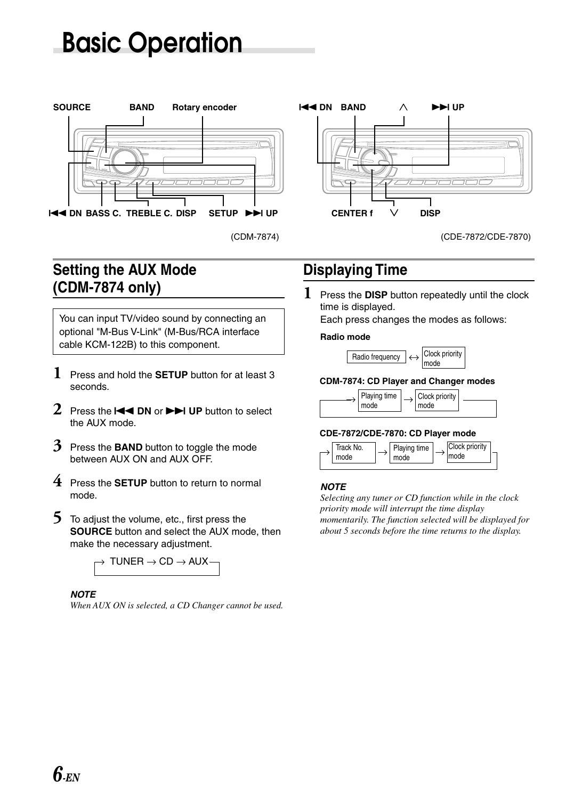## **Basic Operation**





(CDE-7872/CDE-7870)

## **Setting the AUX Mode (CDM-7874 only)**

You can input TV/video sound by connecting an optional "M-Bus V-Link" (M-Bus/RCA interface cable KCM-122B) to this component.

- **1** Press and hold the **SETUP** button for at least 3 seconds.
- 2 Press the **III DN** or **FIM** UP button to select the AUX mode.
- **3** Press the **BAND** button to toggle the mode between AUX ON and AUX OFF.
- **4** Press the **SETUP** button to return to normal mode.
- **5** To adjust the volume, etc., first press the **SOURCE** button and select the AUX mode, then make the necessary adjustment.



## **NOTE**

*When AUX ON is selected, a CD Changer cannot be used.*

## **Displaying Time**

**1** Press the **DISP** button repeatedly until the clock time is displayed.

Each press changes the modes as follows:

#### **Radio mode**



#### **CDM-7874: CD Player and Changer modes**



#### **CDE-7872/CDE-7870: CD Player mode**



#### **NOTE**

*Selecting any tuner or CD function while in the clock priority mode will interrupt the time display momentarily. The function selected will be displayed for about 5 seconds before the time returns to the display.*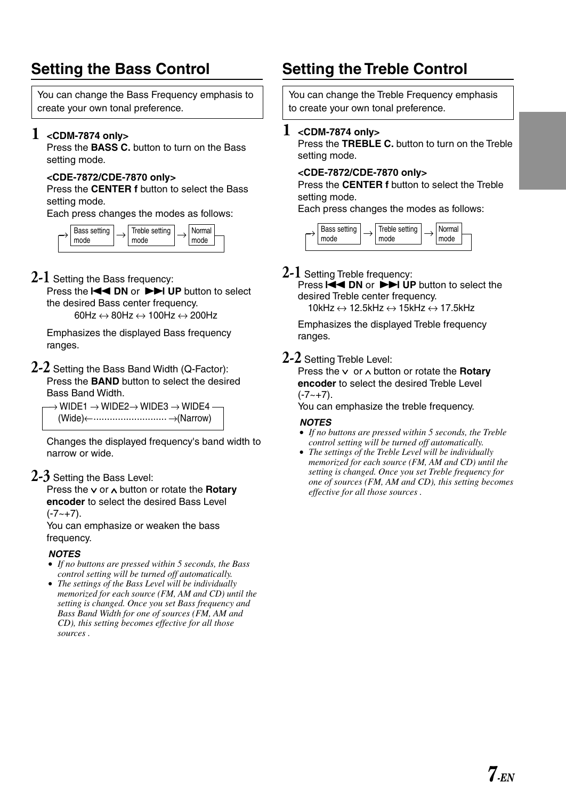## **Setting the Bass Control**

You can change the Bass Frequency emphasis to create your own tonal preference.

## **1 <CDM-7874 only>**

Press the **BASS C.** button to turn on the Bass setting mode.

#### **<CDE-7872/CDE-7870 only>**

Press the **CENTER f** button to select the Bass setting mode.

Each press changes the modes as follows:



**2-1** Setting the Bass frequency:

Press the **ISS 10 DN** or **DDI** UP button to select the desired Bass center frequency. 60Hz  $\leftrightarrow$  80Hz  $\leftrightarrow$  100Hz  $\leftrightarrow$  200Hz

Emphasizes the displayed Bass frequency ranges.

#### **2-2** Setting the Bass Band Width (Q-Factor): Press the **BAND** button to select the desired Bass Band Width.

 $\rightarrow$  WIDE1  $\rightarrow$  WIDE2 $\rightarrow$  WIDE3  $\rightarrow$  WIDE4  $\cdot$ (Wide)← →(Narrow) ...........................

Changes the displayed frequency's band width to narrow or wide.

## **2-3** Setting the Bass Level:

Press the v or  $\land$  button or rotate the **Rotary encoder** to select the desired Bass Level

 $(-7 - +7)$ .

You can emphasize or weaken the bass frequency.

#### **NOTES**

- *If no buttons are pressed within 5 seconds, the Bass control setting will be turned off automatically.*
- *The settings of the Bass Level will be individually memorized for each source (FM, AM and CD) until the setting is changed. Once you set Bass frequency and Bass Band Width for one of sources (FM, AM and CD), this setting becomes effective for all those sources .*

## **Setting the Treble Control**

You can change the Treble Frequency emphasis to create your own tonal preference.

## **1 <CDM-7874 only>**

Press the **TREBLE C.** button to turn on the Treble setting mode.

#### **<CDE-7872/CDE-7870 only>**

Press the **CENTER f** button to select the Treble setting mode.

Each press changes the modes as follows:



## **2-1** Setting Treble frequency:

Press  $\overline{+}\overline{+}$  DN or  $\overline{+}\overline{+}$  UP button to select the desired Treble center frequency. 10kHz ↔ 12.5kHz ↔ 15kHz ↔ 17.5kHz

Emphasizes the displayed Treble frequency ranges.

## **2-2** Setting Treble Level:

Press the  $\vee$  or  $\wedge$  button or rotate the **Rotary encoder** to select the desired Treble Level  $(-7 - +7)$ .

You can emphasize the treble frequency.

#### **NOTES**

- *If no buttons are pressed within 5 seconds, the Treble control setting will be turned off automatically.*
- *The settings of the Treble Level will be individually memorized for each source (FM, AM and CD) until the setting is changed. Once you set Treble frequency for one of sources (FM, AM and CD), this setting becomes effective for all those sources .*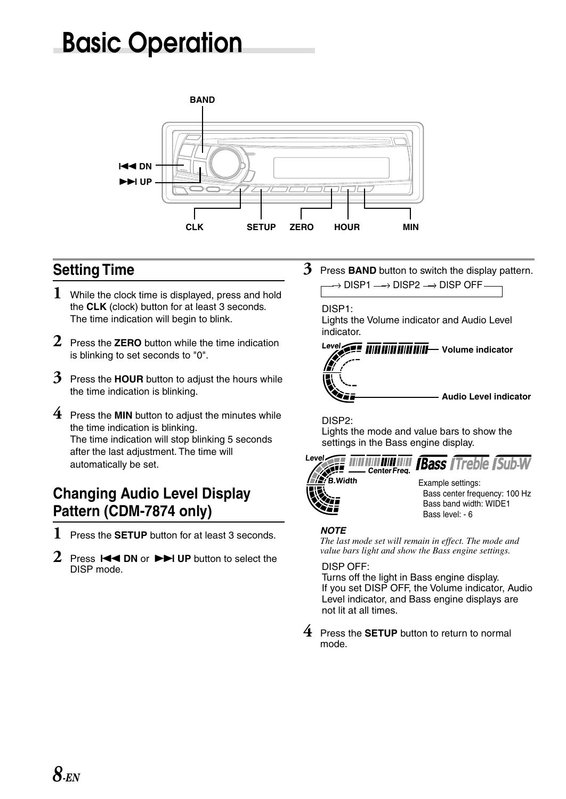## **Basic Operation**



## **Setting Time**

- **1** While the clock time is displayed, press and hold the **CLK** (clock) button for at least 3 seconds. The time indication will begin to blink.
- **2** Press the **ZERO** button while the time indication is blinking to set seconds to "0".
- **3** Press the **HOUR** button to adjust the hours while the time indication is blinking.
- **4** Press the **MIN** button to adjust the minutes while the time indication is blinking. The time indication will stop blinking 5 seconds after the last adjustment. The time will automatically be set.

## **Changing Audio Level Display Pattern (CDM-7874 only)**

- **1** Press the **SETUP** button for at least 3 seconds.
- **2** Press **IEE** DN or  $\blacktriangleright$  UP button to select the DISP mode.

 $\rightarrow$  DISP1  $\longrightarrow$  DISP2  $\rightarrow$  DISP OFF **3** Press **BAND** button to switch the display pattern.

## DISP1:

Lights the Volume indicator and Audio Level indicator.



DISP2:

Lights the mode and value bars to show the settings in the Bass engine display.



#### **NOTE**

*The last mode set will remain in effect. The mode and value bars light and show the Bass engine settings.*

#### DISP OFF:

Turns off the light in Bass engine display. If you set DISP OFF, the Volume indicator, Audio Level indicator, and Bass engine displays are not lit at all times.

**4** Press the **SETUP** button to return to normal mode.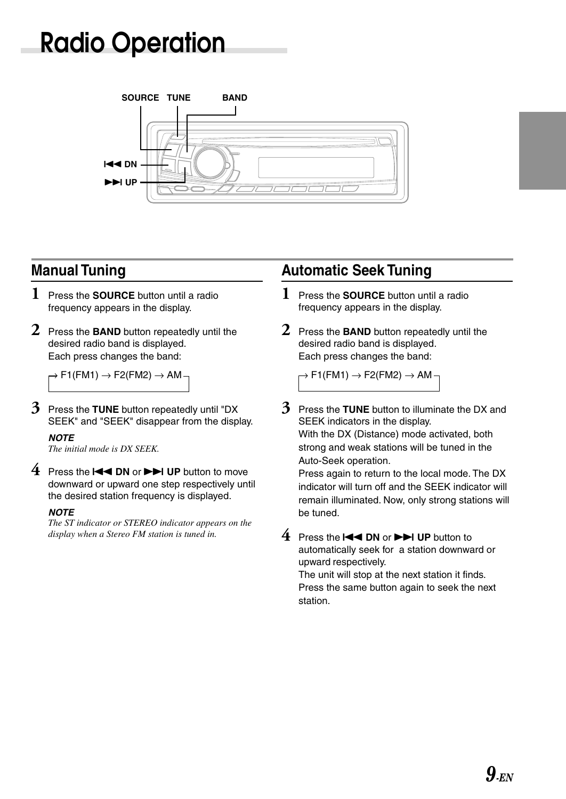## **Radio Operation**



## **Manual Tuning**

- **1** Press the **SOURCE** button until a radio frequency appears in the display.
- **2** Press the **BAND** button repeatedly until the desired radio band is displayed. Each press changes the band:

 $\rightarrow$  F1(FM1)  $\rightarrow$  F2(FM2)  $\rightarrow$  AM  $\rightarrow$ 

**3** Press the **TUNE** button repeatedly until "DX SEEK" and "SEEK" disappear from the display.

## **NOTE**

*The initial mode is DX SEEK.*

**4** Press the **I<< DN** or **▶▶I UP** button to move downward or upward one step respectively until the desired station frequency is displayed.

## **NOTE**

*The ST indicator or STEREO indicator appears on the display when a Stereo FM station is tuned in.*

## **Automatic Seek Tuning**

- **1** Press the **SOURCE** button until a radio frequency appears in the display.
- **2** Press the **BAND** button repeatedly until the desired radio band is displayed. Each press changes the band:

 $\rightarrow$  F1(FM1)  $\rightarrow$  F2(FM2)  $\rightarrow$  AM –

**3** Press the **TUNE** button to illuminate the DX and SEEK indicators in the display. With the DX (Distance) mode activated, both strong and weak stations will be tuned in the Auto-Seek operation.

Press again to return to the local mode. The DX indicator will turn off and the SEEK indicator will remain illuminated. Now, only strong stations will be tuned.

**4** Press the **III DN** or **DD** UP button to automatically seek for a station downward or upward respectively. The unit will stop at the next station it finds. Press the same button again to seek the next station.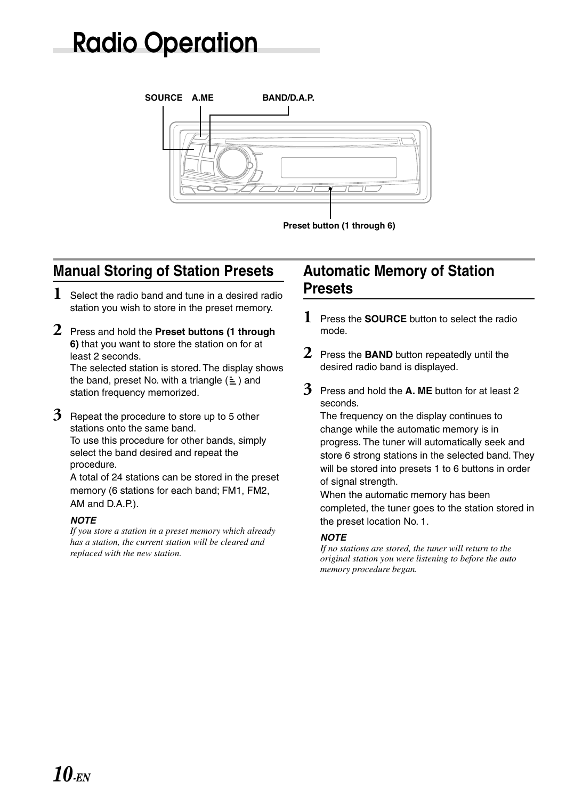## **Radio Operation**



## **Manual Storing of Station Presets**

- **1** Select the radio band and tune in a desired radio station you wish to store in the preset memory.
- **2** Press and hold the **Preset buttons (1 through 6)** that you want to store the station on for at least 2 seconds. The selected station is stored. The display shows the band, preset No. with a triangle  $(\equiv)$  and station frequency memorized.
- **3** Repeat the procedure to store up to 5 other stations onto the same band. To use this procedure for other bands, simply select the band desired and repeat the procedure.

A total of 24 stations can be stored in the preset memory (6 stations for each band; FM1, FM2, AM and D.A.P.).

## **NOTE**

*If you store a station in a preset memory which already has a station, the current station will be cleared and replaced with the new station.*

## **Automatic Memory of Station Presets**

- **1** Press the **SOURCE** button to select the radio mode.
- **2** Press the **BAND** button repeatedly until the desired radio band is displayed.
- **3** Press and hold the **A. ME** button for at least 2 seconds.

The frequency on the display continues to change while the automatic memory is in progress. The tuner will automatically seek and store 6 strong stations in the selected band. They will be stored into presets 1 to 6 buttons in order of signal strength.

When the automatic memory has been completed, the tuner goes to the station stored in the preset location No. 1.

## **NOTE**

*If no stations are stored, the tuner will return to the original station you were listening to before the auto memory procedure began.*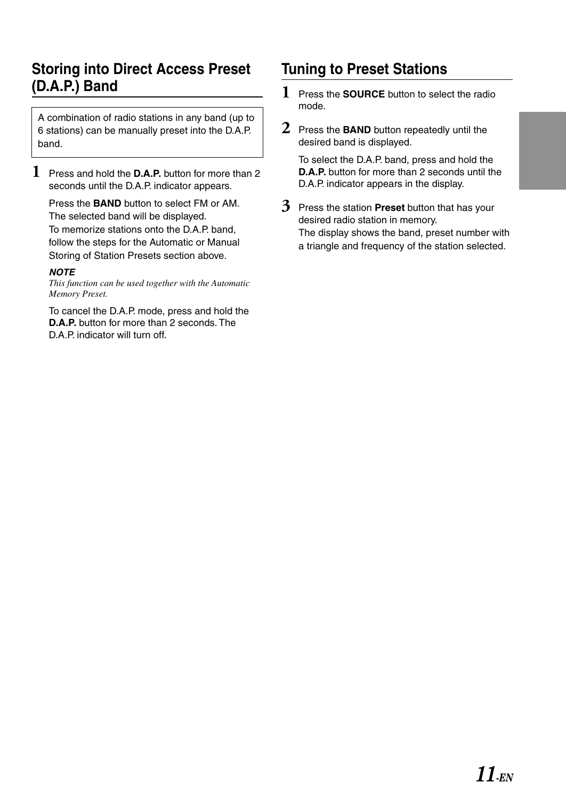## **Storing into Direct Access Preset (D.A.P.) Band**

A combination of radio stations in any band (up to 6 stations) can be manually preset into the D.A.P. band.

**1** Press and hold the **D.A.P.** button for more than 2 seconds until the D.A.P. indicator appears.

Press the **BAND** button to select FM or AM. The selected band will be displayed. To memorize stations onto the D.A.P. band, follow the steps for the Automatic or Manual Storing of Station Presets section above.

#### **NOTE**

*This function can be used together with the Automatic Memory Preset.*

To cancel the D.A.P. mode, press and hold the **D.A.P.** button for more than 2 seconds. The D.A.P. indicator will turn off.

## **Tuning to Preset Stations**

- **1** Press the **SOURCE** button to select the radio mode.
- **2** Press the **BAND** button repeatedly until the desired band is displayed.

To select the D.A.P. band, press and hold the **D.A.P.** button for more than 2 seconds until the D.A.P. indicator appears in the display.

**3** Press the station **Preset** button that has your desired radio station in memory. The display shows the band, preset number with a triangle and frequency of the station selected.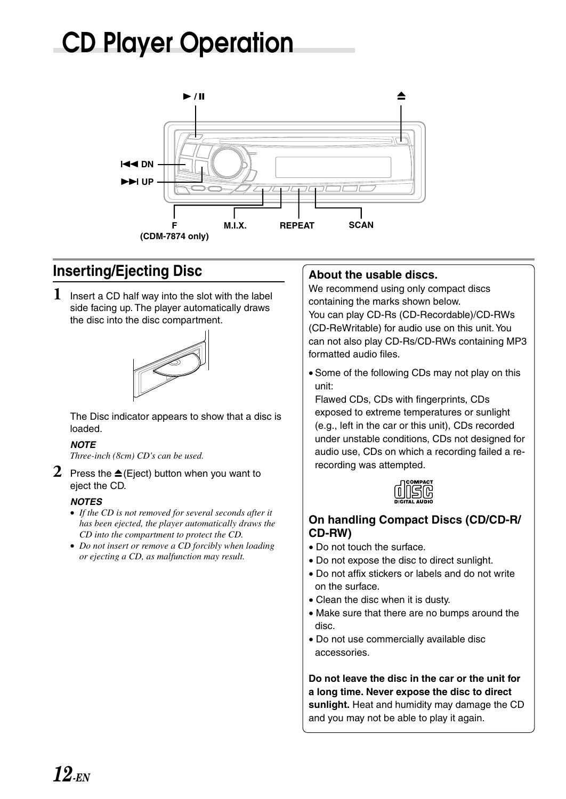## **CD Player Operation**



## **Inserting/Ejecting Disc**

**1** Insert a CD half way into the slot with the label side facing up. The player automatically draws the disc into the disc compartment.



The Disc indicator appears to show that a disc is loaded.

## **NOTE**

*Three-inch (8cm) CD's can be used.*

**2** Press the  $\triangle$  (Eject) button when you want to eject the CD.

## **NOTES**

- *If the CD is not removed for several seconds after it has been ejected, the player automatically draws the CD into the compartment to protect the CD.*
- *Do not insert or remove a CD forcibly when loading or ejecting a CD, as malfunction may result.*

## **About the usable discs.**

We recommend using only compact discs containing the marks shown below.

You can play CD-Rs (CD-Recordable)/CD-RWs (CD-ReWritable) for audio use on this unit. You can not also play CD-Rs/CD-RWs containing MP3 formatted audio files.

• Some of the following CDs may not play on this unit:

Flawed CDs, CDs with fingerprints, CDs exposed to extreme temperatures or sunlight (e.g., left in the car or this unit), CDs recorded under unstable conditions, CDs not designed for audio use, CDs on which a recording failed a rerecording was attempted.



## **On handling Compact Discs (CD/CD-R/ CD-RW)**

- Do not touch the surface.
- Do not expose the disc to direct sunlight.
- Do not affix stickers or labels and do not write on the surface.
- Clean the disc when it is dusty.
- Make sure that there are no bumps around the disc.
- Do not use commercially available disc accessories.

**Do not leave the disc in the car or the unit for a long time. Never expose the disc to direct sunlight.** Heat and humidity may damage the CD and you may not be able to play it again.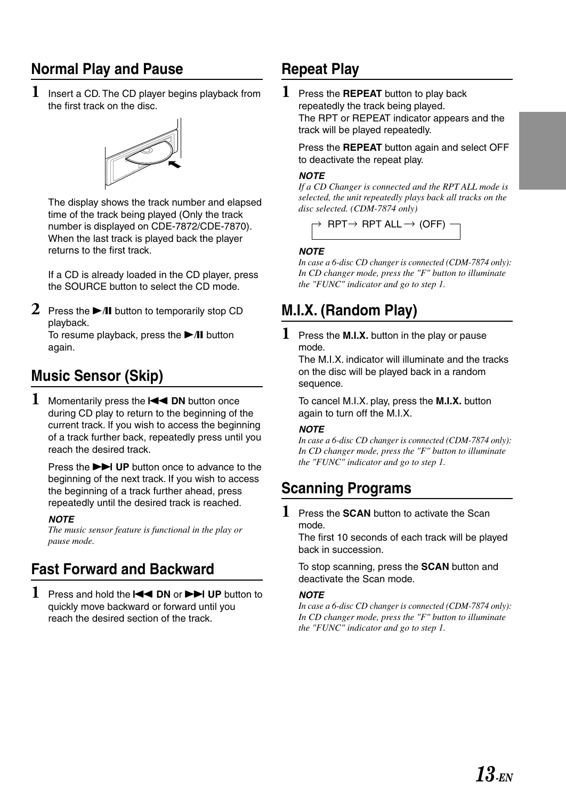## **Normal Play and Pause**

**1** Insert a CD. The CD player begins playback from the first track on the disc.



The display shows the track number and elapsed time of the track being played (Only the track number is displayed on CDE-7872/CDE-7870). When the last track is played back the player returns to the first track.

If a CD is already loaded in the CD player, press the SOURCE button to select the CD mode.

**2** Press the  $\blacktriangleright$ /II button to temporarily stop CD playback.

To resume playback, press the  $\blacktriangleright$ /II button again.

## **Music Sensor (Skip)**

1 Momentarily press the **I II** DN button once during CD play to return to the beginning of the current track. If you wish to access the beginning of a track further back, repeatedly press until you reach the desired track.

Press the **FH** UP button once to advance to the beginning of the next track. If you wish to access the beginning of a track further ahead, press repeatedly until the desired track is reached.

#### **NOTE**

*The music sensor feature is functional in the play or pause mode.*

## **Fast Forward and Backward**

**1** Press and hold the  $\blacktriangleleft$  DN or  $\blacktriangleright$  UP button to quickly move backward or forward until you reach the desired section of the track.

## **Repeat Play**

**1** Press the **REPEAT** button to play back repeatedly the track being played. The RPT or REPEAT indicator appears and the track will be played repeatedly.

Press the **REPEAT** button again and select OFF to deactivate the repeat play.

#### **NOTE**

*If a CD Changer is connected and the RPT ALL mode is selected, the unit repeatedly plays back all tracks on the disc selected. (CDM-7874 only)*



#### **NOTE**

*In case a 6-disc CD changer is connected (CDM-7874 only): In CD changer mode, press the "F" button to illuminate the "FUNC" indicator and go to step 1.*

## **M.I.X. (Random Play)**

**1** Press the **M.I.X.** button in the play or pause mode.

The M.I.X. indicator will illuminate and the tracks on the disc will be played back in a random sequence.

To cancel M.I.X. play, press the **M.I.X.** button again to turn off the M.I.X.

## **NOTE**

*In case a 6-disc CD changer is connected (CDM-7874 only): In CD changer mode, press the "F" button to illuminate the "FUNC" indicator and go to step 1.*

## **Scanning Programs**

**1** Press the **SCAN** button to activate the Scan mode.

The first 10 seconds of each track will be played back in succession.

To stop scanning, press the **SCAN** button and deactivate the Scan mode.

## **NOTE**

*In case a 6-disc CD changer is connected (CDM-7874 only): In CD changer mode, press the "F" button to illuminate the "FUNC" indicator and go to step 1.*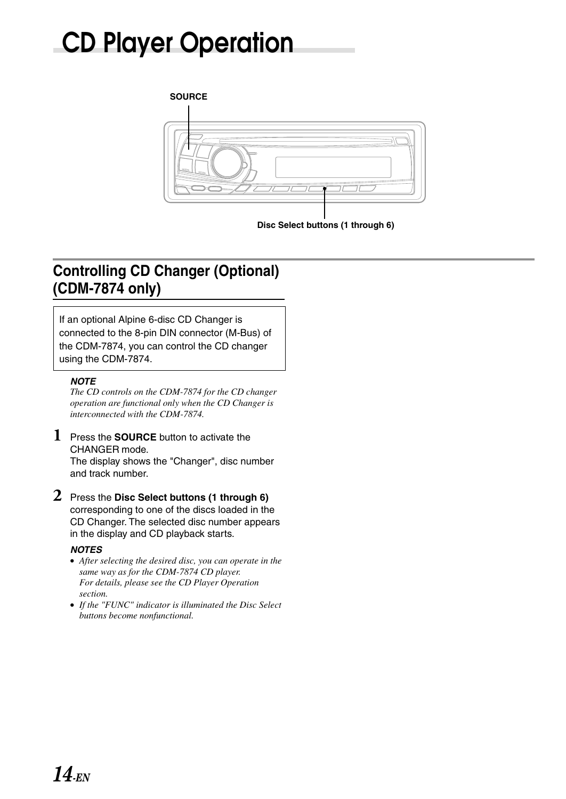## **CD Player Operation**



## **Controlling CD Changer (Optional) (CDM-7874 only)**

If an optional Alpine 6-disc CD Changer is connected to the 8-pin DIN connector (M-Bus) of the CDM-7874, you can control the CD changer using the CDM-7874.

#### **NOTE**

*The CD controls on the CDM-7874 for the CD changer operation are functional only when the CD Changer is interconnected with the CDM-7874.*

**1** Press the **SOURCE** button to activate the CHANGER mode.

The display shows the "Changer", disc number and track number.

**2** Press the **Disc Select buttons (1 through 6)** corresponding to one of the discs loaded in the CD Changer. The selected disc number appears in the display and CD playback starts.

#### **NOTES**

- *After selecting the desired disc, you can operate in the same way as for the CDM-7874 CD player. For details, please see the CD Player Operation section.*
- *If the "FUNC" indicator is illuminated the Disc Select buttons become nonfunctional.*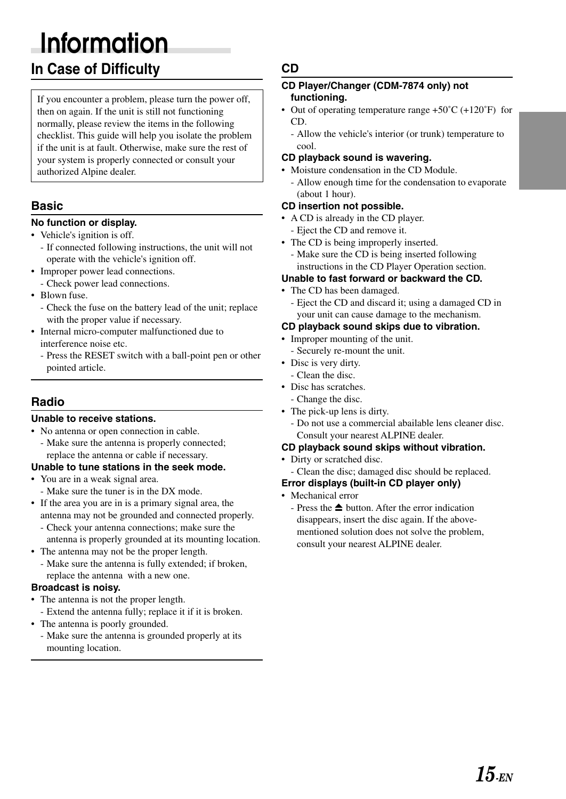## **Information**

## **In Case of Difficulty**

If you encounter a problem, please turn the power off, then on again. If the unit is still not functioning normally, please review the items in the following checklist. This guide will help you isolate the problem if the unit is at fault. Otherwise, make sure the rest of your system is properly connected or consult your authorized Alpine dealer.

## **Basic**

## **No function or display.**

- Vehicle's ignition is off.
	- If connected following instructions, the unit will not operate with the vehicle's ignition off.
- Improper power lead connections.
- Check power lead connections.
- Blown fuse.
	- Check the fuse on the battery lead of the unit; replace with the proper value if necessary.
- Internal micro-computer malfunctioned due to interference noise etc.
	- Press the RESET switch with a ball-point pen or other pointed article.

## **Radio**

## **Unable to receive stations.**

- No antenna or open connection in cable.
- Make sure the antenna is properly connected; replace the antenna or cable if necessary.

## **Unable to tune stations in the seek mode.**

- You are in a weak signal area.
- Make sure the tuner is in the DX mode.
- If the area you are in is a primary signal area, the antenna may not be grounded and connected properly.
	- Check your antenna connections; make sure the antenna is properly grounded at its mounting location.
- The antenna may not be the proper length.
	- Make sure the antenna is fully extended; if broken, replace the antenna with a new one.

## **Broadcast is noisy.**

- The antenna is not the proper length. - Extend the antenna fully; replace it if it is broken.
- The antenna is poorly grounded.
	- Make sure the antenna is grounded properly at its mounting location.

## **CD**

#### **CD Player/Changer (CDM-7874 only) not functioning.**

- Out of operating temperature range +50˚C (+120˚F) for CD.
	- Allow the vehicle's interior (or trunk) temperature to cool.

## **CD playback sound is wavering.**

- Moisture condensation in the CD Module.
	- Allow enough time for the condensation to evaporate (about 1 hour).

## **CD insertion not possible.**

- A CD is already in the CD player. - Eject the CD and remove it.
- The CD is being improperly inserted.
	- Make sure the CD is being inserted following instructions in the CD Player Operation section.

## **Unable to fast forward or backward the CD.**

- The CD has been damaged.
	- Eject the CD and discard it; using a damaged CD in your unit can cause damage to the mechanism.

## **CD playback sound skips due to vibration.**

- Improper mounting of the unit.
- Securely re-mount the unit.
- Disc is very dirty.
- Clean the disc.
- Disc has scratches.
- Change the disc.
- The pick-up lens is dirty.
	- Do not use a commercial abailable lens cleaner disc. Consult your nearest ALPINE dealer.

## **CD playback sound skips without vibration.**

- Dirty or scratched disc.
- Clean the disc; damaged disc should be replaced.

#### **Error displays (built-in CD player only)**

- Mechanical error
	- Press the  $\triangleq$  button. After the error indication disappears, insert the disc again. If the abovementioned solution does not solve the problem, consult your nearest ALPINE dealer.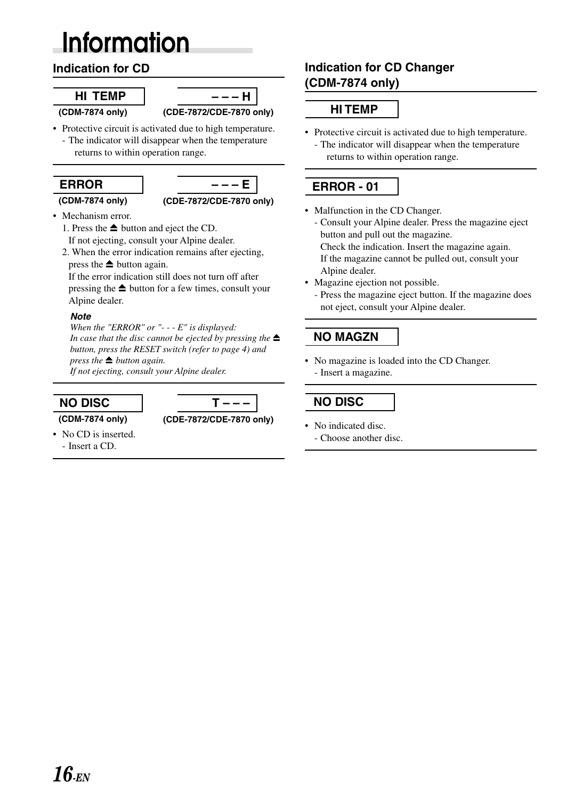## **Information**

## **Indication for CD**

## **HI TEMP**

**(CDM-7874 only)**



- Protective circuit is activated due to high temperature. - The indicator will disappear when the temperature
	- returns to within operation range.

## **ERROR – – – E (CDM-7874 only) (CDE-7872/CDE-7870 only)**

- Mechanism error.
	- 1. Press the  $\triangleq$  button and eject the CD. If not ejecting, consult your Alpine dealer.
	- 2. When the error indication remains after ejecting, press the  $\triangle$  button again.

If the error indication still does not turn off after pressing the  $\triangleq$  button for a few times, consult your Alpine dealer.

## **Note**

*When the "ERROR" or "- - - E" is displayed: In case that the disc cannot be ejected by pressing the button, press the RESET switch (refer to page 4) and press the*  $\triangleq$  *button again.* 

*If not ejecting, consult your Alpine dealer.*



**(CDM-7874 only) (CDE-7872/CDE-7870 only)**

- No CD is inserted.
	- Insert a CD.

## **Indication for CD Changer (CDM-7874 only)**

## **HI TEMP**

• Protective circuit is activated due to high temperature. - The indicator will disappear when the temperature returns to within operation range.

## **ERROR - 01**

- Malfunction in the CD Changer.
	- Consult your Alpine dealer. Press the magazine eject button and pull out the magazine. Check the indication. Insert the magazine again. If the magazine cannot be pulled out, consult your Alpine dealer.
- Magazine ejection not possible.
	- Press the magazine eject button. If the magazine does not eject, consult your Alpine dealer.

## **NO MAGZN**

• No magazine is loaded into the CD Changer. - Insert a magazine.

## **NO DISC**

- No indicated disc.
	- Choose another disc.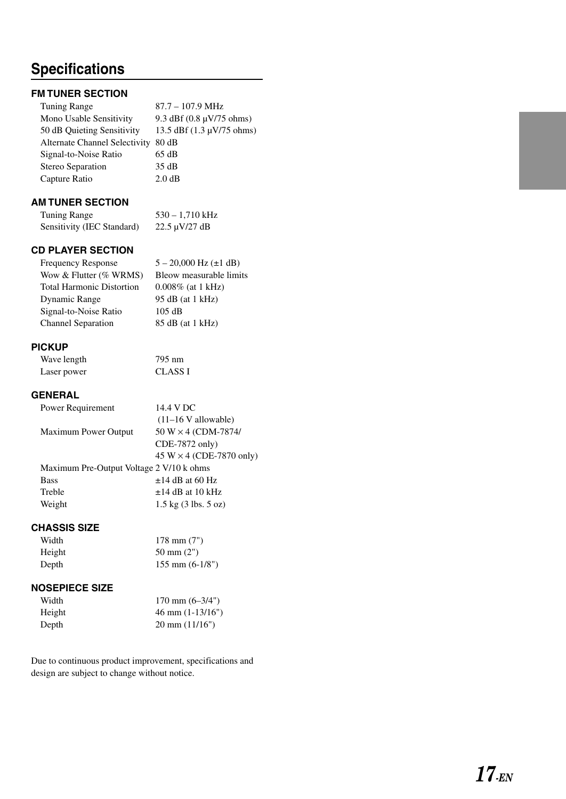## **Specifications**

## **FM TUNER SECTION**

| $87.7 - 107.9$ MHz                                   |
|------------------------------------------------------|
| 9.3 dBf $(0.8 \text{ }\mu\text{V}/75 \text{ ohms})$  |
| 13.5 dBf $(1.3 \text{ }\mu\text{V}/75 \text{ ohms})$ |
| 80 dB                                                |
| 65 dB                                                |
| 35 dB                                                |
| 2.0 dB                                               |
|                                                      |

## **AM TUNER SECTION**

Tuning Range 530 – 1,710 kHz Sensitivity (IEC Standard) 22.5 µV/27 dB

## **CD PLAYER SECTION**

| <b>Frequency Response</b>        | $5 - 20,000$ Hz ( $\pm 1$ dB) |
|----------------------------------|-------------------------------|
| Wow & Flutter $(\%$ WRMS)        | Bleow measurable limits       |
| <b>Total Harmonic Distortion</b> | $0.008\%$ (at 1 kHz)          |
| Dynamic Range                    | 95 dB (at 1 kHz)              |
| Signal-to-Noise Ratio            | 105 dB                        |
| <b>Channel Separation</b>        | 85 dB (at 1 kHz)              |

#### **PICKUP**

| Wave length | 795 nm         |
|-------------|----------------|
| Laser power | <b>CLASS I</b> |

## **GENERAL**

| Power Requirement                        | 14.4 V DC                                 |
|------------------------------------------|-------------------------------------------|
|                                          | $(11-16 \text{ V}$ allowable)             |
| <b>Maximum Power Output</b>              | $50 W \times 4 (CDM-7874)$                |
|                                          | CDE-7872 only)                            |
|                                          | 45 W $\times$ 4 (CDE-7870 only)           |
| Maximum Pre-Output Voltage 2 V/10 k ohms |                                           |
| <b>Bass</b>                              | $\pm$ 14 dB at 60 Hz                      |
| Treble                                   | $\pm$ 14 dB at 10 kHz                     |
| Weight                                   | $1.5 \text{ kg}$ (3 lbs. $5 \text{ oz}$ ) |
|                                          |                                           |

## **CHASSIS SIZE**

| Width  | $178$ mm $(7")$           |
|--------|---------------------------|
| Height | $50 \text{ mm} (2")$      |
| Depth  | $155 \text{ mm}$ (6-1/8") |

## **NOSEPIECE SIZE**

| Width  | $170 \text{ mm} (6-3/4")$  |
|--------|----------------------------|
| Height | $46 \text{ mm} (1-13/16")$ |
| Depth  | $20 \text{ mm} (11/16")$   |

Due to continuous product improvement, specifications and design are subject to change without notice.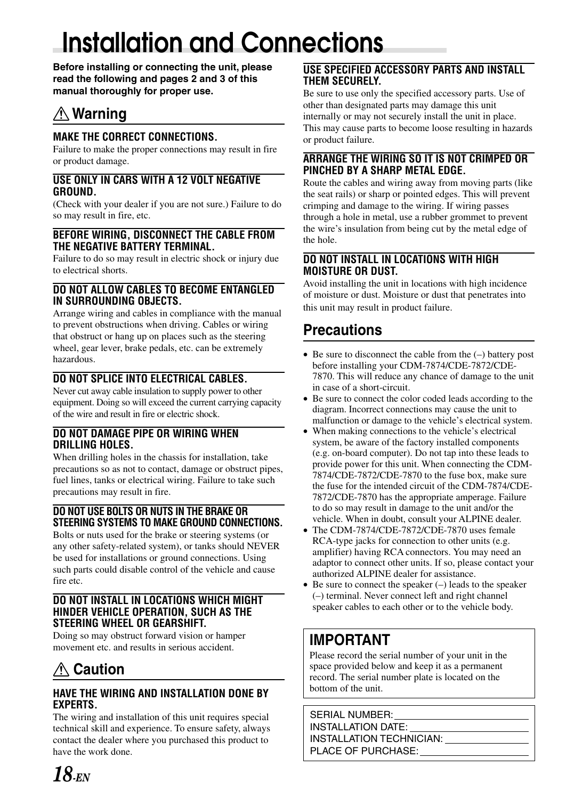## **Installation and Connections**

**Before installing or connecting the unit, please read the following and pages 2 and 3 of this manual thoroughly for proper use.**

## *A* **Warning**

## **MAKE THE CORRECT CONNECTIONS.**

Failure to make the proper connections may result in fire or product damage.

## **USE ONLY IN CARS WITH A 12 VOLT NEGATIVE GROUND.**

(Check with your dealer if you are not sure.) Failure to do so may result in fire, etc.

#### **BEFORE WIRING, DISCONNECT THE CABLE FROM THE NEGATIVE BATTERY TERMINAL.**

Failure to do so may result in electric shock or injury due to electrical shorts.

## **DO NOT ALLOW CABLES TO BECOME ENTANGLED IN SURROUNDING OBJECTS.**

Arrange wiring and cables in compliance with the manual to prevent obstructions when driving. Cables or wiring that obstruct or hang up on places such as the steering wheel, gear lever, brake pedals, etc. can be extremely hazardous.

## **DO NOT SPLICE INTO ELECTRICAL CABLES.**

Never cut away cable insulation to supply power to other equipment. Doing so will exceed the current carrying capacity of the wire and result in fire or electric shock.

## **DO NOT DAMAGE PIPE OR WIRING WHEN DRILLING HOLES.**

When drilling holes in the chassis for installation, take precautions so as not to contact, damage or obstruct pipes, fuel lines, tanks or electrical wiring. Failure to take such precautions may result in fire.

## **DO NOT USE BOLTS OR NUTS IN THE BRAKE OR STEERING SYSTEMS TO MAKE GROUND CONNECTIONS.**

Bolts or nuts used for the brake or steering systems (or any other safety-related system), or tanks should NEVER be used for installations or ground connections. Using such parts could disable control of the vehicle and cause fire etc.

## **DO NOT INSTALL IN LOCATIONS WHICH MIGHT HINDER VEHICLE OPERATION, SUCH AS THE STEERING WHEEL OR GEARSHIFT.**

Doing so may obstruct forward vision or hamper movement etc. and results in serious accident.

## **Caution**

## **HAVE THE WIRING AND INSTALLATION DONE BY EXPERTS.**

The wiring and installation of this unit requires special technical skill and experience. To ensure safety, always contact the dealer where you purchased this product to have the work done.

## **USE SPECIFIED ACCESSORY PARTS AND INSTALL THEM SECURELY.**

Be sure to use only the specified accessory parts. Use of other than designated parts may damage this unit internally or may not securely install the unit in place. This may cause parts to become loose resulting in hazards or product failure.

## **ARRANGE THE WIRING SO IT IS NOT CRIMPED OR PINCHED BY A SHARP METAL EDGE.**

Route the cables and wiring away from moving parts (like the seat rails) or sharp or pointed edges. This will prevent crimping and damage to the wiring. If wiring passes through a hole in metal, use a rubber grommet to prevent the wire's insulation from being cut by the metal edge of the hole.

## **DO NOT INSTALL IN LOCATIONS WITH HIGH MOISTURE OR DUST.**

Avoid installing the unit in locations with high incidence of moisture or dust. Moisture or dust that penetrates into this unit may result in product failure.

## **Precautions**

- Be sure to disconnect the cable from the  $(-)$  battery post before installing your CDM-7874/CDE-7872/CDE-7870. This will reduce any chance of damage to the unit in case of a short-circuit.
- Be sure to connect the color coded leads according to the diagram. Incorrect connections may cause the unit to malfunction or damage to the vehicle's electrical system.
- When making connections to the vehicle's electrical system, be aware of the factory installed components (e.g. on-board computer). Do not tap into these leads to provide power for this unit. When connecting the CDM-7874/CDE-7872/CDE-7870 to the fuse box, make sure the fuse for the intended circuit of the CDM-7874/CDE-7872/CDE-7870 has the appropriate amperage. Failure to do so may result in damage to the unit and/or the vehicle. When in doubt, consult your ALPINE dealer.
- The CDM-7874/CDE-7872/CDE-7870 uses female RCA-type jacks for connection to other units (e.g. amplifier) having RCA connectors. You may need an adaptor to connect other units. If so, please contact your authorized ALPINE dealer for assistance.
- $\bullet$  Be sure to connect the speaker  $(-)$  leads to the speaker (–) terminal. Never connect left and right channel speaker cables to each other or to the vehicle body.

## **IMPORTANT**

Please record the serial number of your unit in the space provided below and keep it as a permanent record. The serial number plate is located on the bottom of the unit.

SERIAL NUMBER: INSTALLATION DATE: INSTALLATION TECHNICIAN: PLACE OF PURCHASE: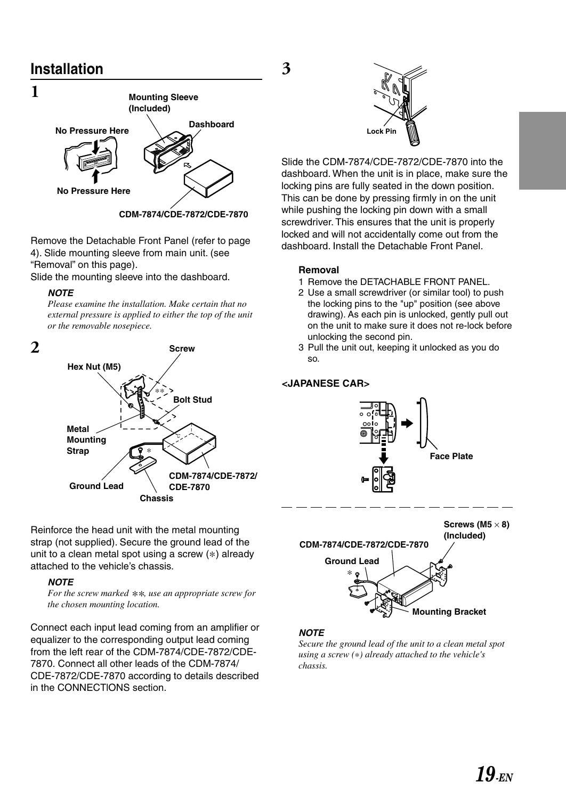## **Installation**



Remove the Detachable Front Panel (refer to page 4). Slide mounting sleeve from main unit. (see "Removal" on this page).

Slide the mounting sleeve into the dashboard.

#### **NOTE**

*Please examine the installation. Make certain that no external pressure is applied to either the top of the unit or the removable nosepiece.*



Reinforce the head unit with the metal mounting strap (not supplied). Secure the ground lead of the unit to a clean metal spot using a screw (∗) already attached to the vehicle's chassis.

#### **NOTE**

*For the screw marked \*\*, use an appropriate screw for the chosen mounting location.*

Connect each input lead coming from an amplifier or equalizer to the corresponding output lead coming from the left rear of the CDM-7874/CDE-7872/CDE-7870. Connect all other leads of the CDM-7874/ CDE-7872/CDE-7870 according to details described in the CONNECTlONS section.



Slide the CDM-7874/CDE-7872/CDE-7870 into the dashboard. When the unit is in place, make sure the locking pins are fully seated in the down position. This can be done by pressing firmly in on the unit while pushing the locking pin down with a small screwdriver. This ensures that the unit is properly locked and will not accidentally come out from the dashboard. Install the Detachable Front Panel.

#### **Removal**

**3**

- 1 Remove the DETACHABLE FRONT PANEL.
- 2 Use a small screwdriver (or similar tool) to push the locking pins to the "up" position (see above drawing). As each pin is unlocked, gently pull out on the unit to make sure it does not re-lock before unlocking the second pin.
- 3 Pull the unit out, keeping it unlocked as you do so.

## **<JAPANESE CAR>**





## **NOTE**

*Secure the ground lead of the unit to a clean metal spot using a screw (*∗*) already attached to the vehicle's chassis.*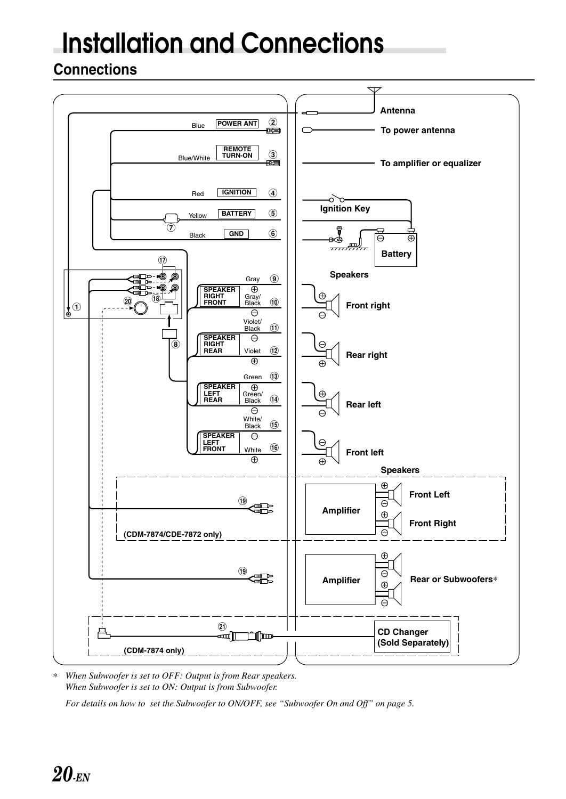## **Installation and Connections**

## **Connections**



∗ *When Subwoofer is set to OFF: Output is from Rear speakers. When Subwoofer is set to ON: Output is from Subwoofer.*

*For details on how to set the Subwoofer to ON/OFF, see "Subwoofer On and Off" on page 5.*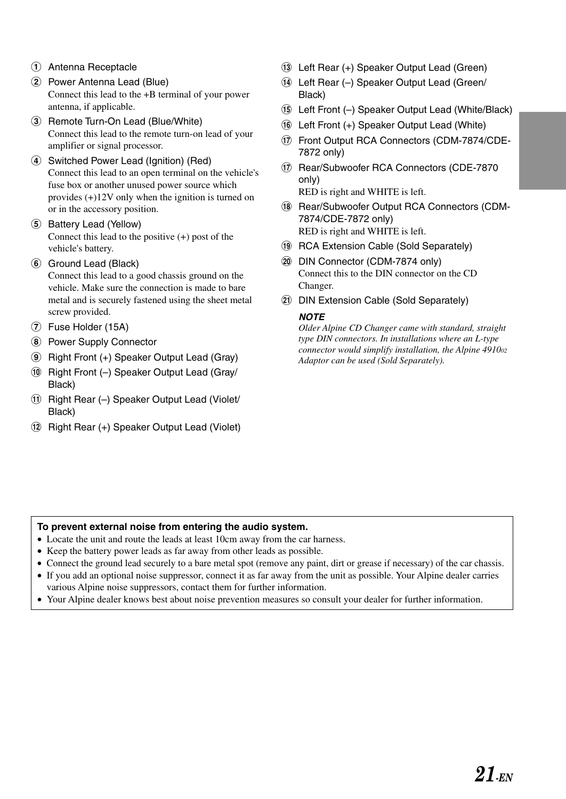- 1 Antenna Receptacle
- 2 Power Antenna Lead (Blue) Connect this lead to the +B terminal of your power antenna, if applicable.
- 3 Remote Turn-On Lead (Blue/White) Connect this lead to the remote turn-on lead of your amplifier or signal processor.
- 4 Switched Power Lead (Ignition) (Red) Connect this lead to an open terminal on the vehicle's fuse box or another unused power source which provides (+)12V only when the ignition is turned on or in the accessory position.
- 5 Battery Lead (Yellow) Connect this lead to the positive (+) post of the vehicle's battery.
- 6 Ground Lead (Black) Connect this lead to a good chassis ground on the vehicle. Make sure the connection is made to bare metal and is securely fastened using the sheet metal screw provided.
- 7 Fuse Holder (15A)
- 8 Power Supply Connector
- 9 Right Front (+) Speaker Output Lead (Gray)
- (10) Right Front (-) Speaker Output Lead (Gray/ Black)
- (1) Right Rear (-) Speaker Output Lead (Violet/ Black)
- (12) Right Rear (+) Speaker Output Lead (Violet)
- (13) Left Rear (+) Speaker Output Lead (Green)
- (14) Left Rear (-) Speaker Output Lead (Green/ Black)
- & Left Front (–) Speaker Output Lead (White/Black)
- (6) Left Front (+) Speaker Output Lead (White)
- ) Front Output RCA Connectors (CDM-7874/CDE-7872 only)
- ) Rear/Subwoofer RCA Connectors (CDE-7870 only) RED is right and WHITE is left.
- $(18)$  Rear/Subwoofer Output RCA Connectors (CDM-7874/CDE-7872 only) RED is right and WHITE is left.
- $\circledR$  RCA Extension Cable (Sold Separately)
- , DIN Connector (CDM-7874 only) Connect this to the DIN connector on the CD Changer.
- DIN Extension Cable (Sold Separately)

#### **NOTE**

*Older Alpine CD Changer came with standard, straight type DIN connectors. In installations where an L-type connector would simplify installation, the Alpine 491002 Adaptor can be used (Sold Separately).*

#### **To prevent external noise from entering the audio system.**

- Locate the unit and route the leads at least 10cm away from the car harness.
- Keep the battery power leads as far away from other leads as possible.
- Connect the ground lead securely to a bare metal spot (remove any paint, dirt or grease if necessary) of the car chassis.
- If you add an optional noise suppressor, connect it as far away from the unit as possible. Your Alpine dealer carries various Alpine noise suppressors, contact them for further information.
- Your Alpine dealer knows best about noise prevention measures so consult your dealer for further information.